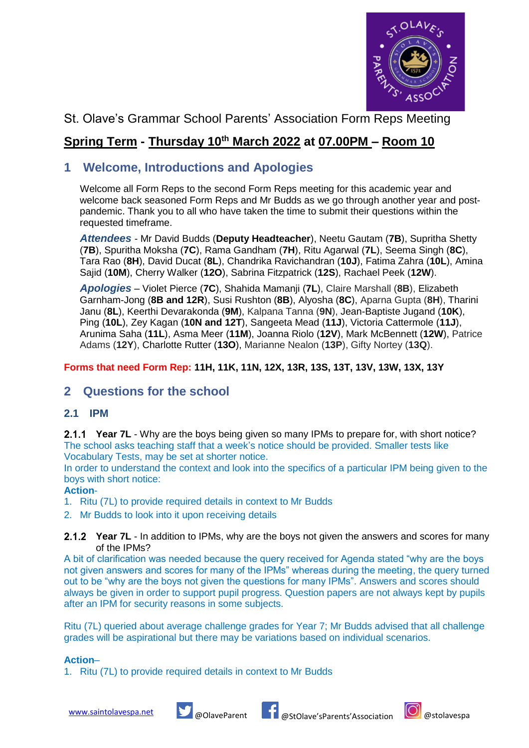

# St. Olave's Grammar School Parents' Association Form Reps Meeting

# **Spring Term - Thursday 10th March 2022 at 07.00PM – Room 10**

# **1 Welcome, Introductions and Apologies**

Welcome all Form Reps to the second Form Reps meeting for this academic year and welcome back seasoned Form Reps and Mr Budds as we go through another year and postpandemic. Thank you to all who have taken the time to submit their questions within the requested timeframe.

*Attendees* - Mr David Budds (**Deputy Headteacher**), Neetu Gautam (**7B**), Supritha Shetty (**7B**), Spuritha Moksha (**7C**), Rama Gandham (**7H**), Ritu Agarwal (**7L**), Seema Singh (**8C**), Tara Rao (**8H**), David Ducat (**8L**), Chandrika Ravichandran (**10J**), Fatima Zahra (**10L**), Amina Sajid (**10M**), Cherry Walker (**12O**), Sabrina Fitzpatrick (**12S**), Rachael Peek (**12W**).

*Apologies* – Violet Pierce (**7C**), Shahida Mamanji (**7L**), Claire Marshall (**8B**), Elizabeth Garnham-Jong (**8B and 12R**), Susi Rushton (**8B**), Alyosha (**8C**), Aparna Gupta (**8H**), Tharini Janu (**8L**), Keerthi Devarakonda (**9M**), Kalpana Tanna (**9N**), Jean-Baptiste Jugand (**10K**), Ping (**10L**), Zey Kagan (**10N and 12T**), Sangeeta Mead (**11J**), Victoria Cattermole (**11J**), Arunima Saha (**11L**), Asma Meer (**11M**), Joanna Riolo (**12V**), Mark McBennett (**12W**), Patrice Adams (**12Y**), Charlotte Rutter (**13O**), Marianne Nealon (**13P**), Gifty Nortey (**13Q**).

## **Forms that need Form Rep: 11H, 11K, 11N, 12X, 13R, 13S, 13T, 13V, 13W, 13X, 13Y**

# **2 Questions for the school**

## **2.1 IPM**

**Year 7L** - Why are the boys being given so many IPMs to prepare for, with short notice? The school asks teaching staff that a week's notice should be provided. Smaller tests like Vocabulary Tests, may be set at shorter notice.

In order to understand the context and look into the specifics of a particular IPM being given to the boys with short notice:

#### **Action**-

1. Ritu (7L) to provide required details in context to Mr Budds

2. Mr Budds to look into it upon receiving details

#### 2.1.2 Year 7L - In addition to IPMs, why are the boys not given the answers and scores for many of the IPMs?

A bit of clarification was needed because the query received for Agenda stated "why are the boys not given answers and scores for many of the IPMs" whereas during the meeting, the query turned out to be "why are the boys not given the questions for many IPMs". Answers and scores should always be given in order to support pupil progress. Question papers are not always kept by pupils after an IPM for security reasons in some subjects.

Ritu (7L) queried about average challenge grades for Year 7; Mr Budds advised that all challenge grades will be aspirational but there may be variations based on individual scenarios.

#### **Action**–

1. Ritu (7L) to provide required details in context to Mr Budds



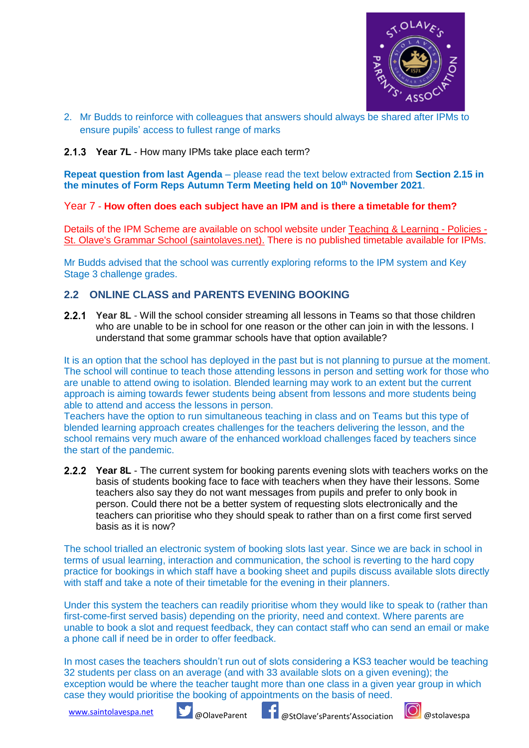

2. Mr Budds to reinforce with colleagues that answers should always be shared after IPMs to ensure pupils' access to fullest range of marks

### **Year 7L** - How many IPMs take place each term?

**Repeat question from last Agenda** – please read the text below extracted from **Section 2.15 in the minutes of Form Reps Autumn Term Meeting held on 10th November 2021**.

#### Year 7 - **How often does each subject have an IPM and is there a timetable for them?**

Details of the IPM Scheme are available on school website under [Teaching & Learning -](https://www.saintolaves.net/10/policies/category/7/teaching-learning) Policies - [St. Olave's Grammar School \(saintolaves.net\).](https://www.saintolaves.net/10/policies/category/7/teaching-learning) There is no published timetable available for IPMs.

Mr Budds advised that the school was currently exploring reforms to the IPM system and Key Stage 3 challenge grades.

## **2.2 ONLINE CLASS and PARENTS EVENING BOOKING**

**2.2.1 Year 8L** - Will the school consider streaming all lessons in Teams so that those children who are unable to be in school for one reason or the other can join in with the lessons. I understand that some grammar schools have that option available?

It is an option that the school has deployed in the past but is not planning to pursue at the moment. The school will continue to teach those attending lessons in person and setting work for those who are unable to attend owing to isolation. Blended learning may work to an extent but the current approach is aiming towards fewer students being absent from lessons and more students being able to attend and access the lessons in person.

Teachers have the option to run simultaneous teaching in class and on Teams but this type of blended learning approach creates challenges for the teachers delivering the lesson, and the school remains very much aware of the enhanced workload challenges faced by teachers since the start of the pandemic.

**Year 8L** - The current system for booking parents evening slots with teachers works on the basis of students booking face to face with teachers when they have their lessons. Some teachers also say they do not want messages from pupils and prefer to only book in person. Could there not be a better system of requesting slots electronically and the teachers can prioritise who they should speak to rather than on a first come first served basis as it is now?

The school trialled an electronic system of booking slots last year. Since we are back in school in terms of usual learning, interaction and communication, the school is reverting to the hard copy practice for bookings in which staff have a booking sheet and pupils discuss available slots directly with staff and take a note of their timetable for the evening in their planners.

Under this system the teachers can readily prioritise whom they would like to speak to (rather than first-come-first served basis) depending on the priority, need and context. Where parents are unable to book a slot and request feedback, they can contact staff who can send an email or make a phone call if need be in order to offer feedback.

In most cases the teachers shouldn't run out of slots considering a KS3 teacher would be teaching 32 students per class on an average (and with 33 available slots on a given evening); the exception would be where the teacher taught more than one class in a given year group in which case they would prioritise the booking of appointments on the basis of need.



[www.saintolavespa.net](http://www.saintolavespa.net/) **W** @OlaveParent **#1** @StOlave'sParents'Association **@**stolavespa

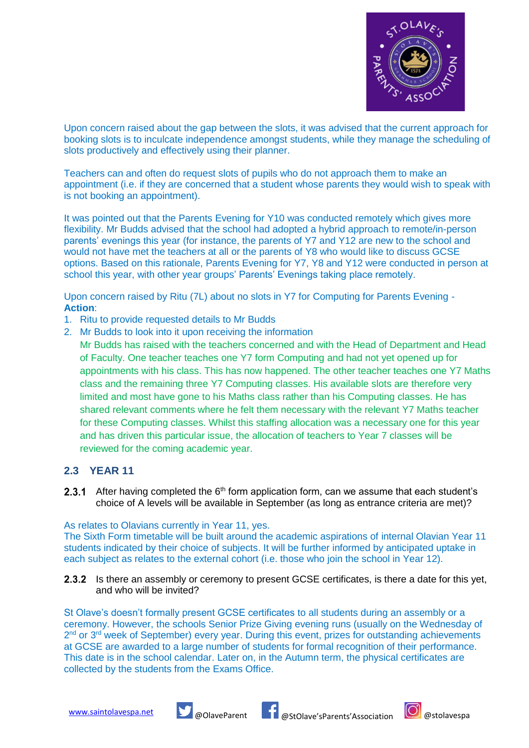

Upon concern raised about the gap between the slots, it was advised that the current approach for booking slots is to inculcate independence amongst students, while they manage the scheduling of slots productively and effectively using their planner.

Teachers can and often do request slots of pupils who do not approach them to make an appointment (i.e. if they are concerned that a student whose parents they would wish to speak with is not booking an appointment).

It was pointed out that the Parents Evening for Y10 was conducted remotely which gives more flexibility. Mr Budds advised that the school had adopted a hybrid approach to remote/in-person parents' evenings this year (for instance, the parents of Y7 and Y12 are new to the school and would not have met the teachers at all or the parents of Y8 who would like to discuss GCSE options. Based on this rationale, Parents Evening for Y7, Y8 and Y12 were conducted in person at school this year, with other year groups' Parents' Evenings taking place remotely.

Upon concern raised by Ritu (7L) about no slots in Y7 for Computing for Parents Evening - **Action**:

- 1. Ritu to provide requested details to Mr Budds
- 2. Mr Budds to look into it upon receiving the information
	- Mr Budds has raised with the teachers concerned and with the Head of Department and Head of Faculty. One teacher teaches one Y7 form Computing and had not yet opened up for appointments with his class. This has now happened. The other teacher teaches one Y7 Maths class and the remaining three Y7 Computing classes. His available slots are therefore very limited and most have gone to his Maths class rather than his Computing classes. He has shared relevant comments where he felt them necessary with the relevant Y7 Maths teacher for these Computing classes. Whilst this staffing allocation was a necessary one for this year and has driven this particular issue, the allocation of teachers to Year 7 classes will be reviewed for the coming academic year.

### **2.3 YEAR 11**

**2.3.1** After having completed the  $6<sup>th</sup>$  form application form, can we assume that each student's choice of A levels will be available in September (as long as entrance criteria are met)?

#### As relates to Olavians currently in Year 11, yes.

The Sixth Form timetable will be built around the academic aspirations of internal Olavian Year 11 students indicated by their choice of subjects. It will be further informed by anticipated uptake in each subject as relates to the external cohort (*i.e.* those who join the school in Year 12).

2.3.2 Is there an assembly or ceremony to present GCSE certificates, is there a date for this yet, and who will be invited?

St Olave's doesn't formally present GCSE certificates to all students during an assembly or a ceremony. However, the schools Senior Prize Giving evening runs (usually on the Wednesday of 2<sup>nd</sup> or 3<sup>rd</sup> week of September) every year. During this event, prizes for outstanding achievements at GCSE are awarded to a large number of students for formal recognition of their performance. This date is in the school calendar. Later on, in the Autumn term, the physical certificates are collected by the students from the Exams Office.





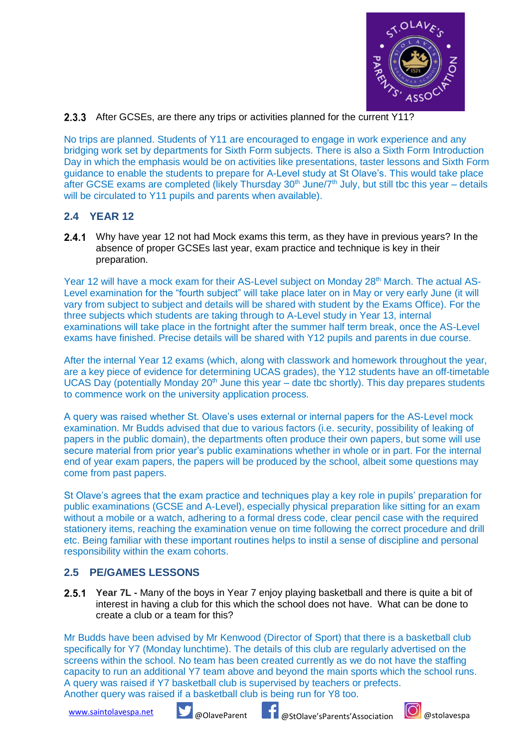

### 2.3.3 After GCSEs, are there any trips or activities planned for the current Y11?

No trips are planned. Students of Y11 are encouraged to engage in work experience and any bridging work set by departments for Sixth Form subjects. There is also a Sixth Form Introduction Day in which the emphasis would be on activities like presentations, taster lessons and Sixth Form guidance to enable the students to prepare for A-Level study at St Olave's. This would take place after GCSE exams are completed (likely Thursday 30<sup>th</sup> June/7<sup>th</sup> July, but still tbc this year – details will be circulated to Y11 pupils and parents when available).

# **2.4 YEAR 12**

**2.4.1** Why have year 12 not had Mock exams this term, as they have in previous years? In the absence of proper GCSEs last year, exam practice and technique is key in their preparation.

Year 12 will have a mock exam for their AS-Level subject on Monday 28<sup>th</sup> March. The actual AS-Level examination for the "fourth subject" will take place later on in May or very early June (it will vary from subject to subject and details will be shared with student by the Exams Office). For the three subjects which students are taking through to A-Level study in Year 13, internal examinations will take place in the fortnight after the summer half term break, once the AS-Level exams have finished. Precise details will be shared with Y12 pupils and parents in due course.

After the internal Year 12 exams (which, along with classwork and homework throughout the year, are a key piece of evidence for determining UCAS grades), the Y12 students have an off-timetable UCAS Day (potentially Monday  $20<sup>th</sup>$  June this year – date tbc shortly). This day prepares students to commence work on the university application process.

A query was raised whether St. Olave's uses external or internal papers for the AS-Level mock examination. Mr Budds advised that due to various factors (i.e. security, possibility of leaking of papers in the public domain), the departments often produce their own papers, but some will use secure material from prior year's public examinations whether in whole or in part. For the internal end of year exam papers, the papers will be produced by the school, albeit some questions may come from past papers.

St Olave's agrees that the exam practice and techniques play a key role in pupils' preparation for public examinations (GCSE and A-Level), especially physical preparation like sitting for an exam without a mobile or a watch, adhering to a formal dress code, clear pencil case with the required stationery items, reaching the examination venue on time following the correct procedure and drill etc. Being familiar with these important routines helps to instil a sense of discipline and personal responsibility within the exam cohorts.

## **2.5 PE/GAMES LESSONS**

**2.5.1 Year 7L -** Many of the boys in Year 7 enjoy playing basketball and there is quite a bit of interest in having a club for this which the school does not have. What can be done to create a club or a team for this?

Mr Budds have been advised by Mr Kenwood (Director of Sport) that there is a basketball club specifically for Y7 (Monday lunchtime). The details of this club are regularly advertised on the screens within the school. No team has been created currently as we do not have the staffing capacity to run an additional Y7 team above and beyond the main sports which the school runs. A query was raised if Y7 basketball club is supervised by teachers or prefects. Another query was raised if a basketball club is being run for Y8 too.



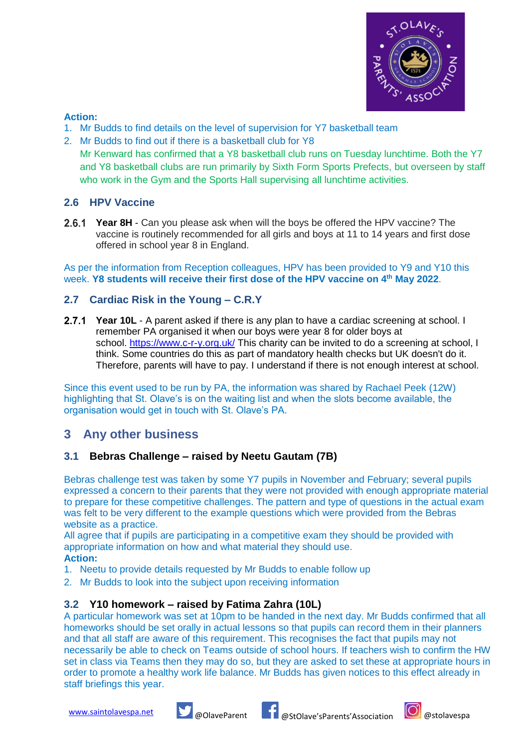

### **Action:**

- 1. Mr Budds to find details on the level of supervision for Y7 basketball team
- 2. Mr Budds to find out if there is a basketball club for Y8 Mr Kenward has confirmed that a Y8 basketball club runs on Tuesday lunchtime. Both the Y7 and Y8 basketball clubs are run primarily by Sixth Form Sports Prefects, but overseen by staff who work in the Gym and the Sports Hall supervising all lunchtime activities.

# **2.6 HPV Vaccine**

**Year 8H** - Can you please ask when will the boys be offered the HPV vaccine? The vaccine is routinely recommended for all girls and boys at 11 to 14 years and first dose offered in school year 8 in England.

As per the information from Reception colleagues, HPV has been provided to Y9 and Y10 this week. **Y8 students will receive their first dose of the HPV vaccine on 4th May 2022**.

# **2.7 Cardiac Risk in the Young – C.R.Y**

**Year 10L** - A parent asked if there is any plan to have a cardiac screening at school. I remember PA organised it when our boys were year 8 for older boys at school. <https://www.c-r-y.org.uk/> This charity can be invited to do a screening at school, I think. Some countries do this as part of mandatory health checks but UK doesn't do it. Therefore, parents will have to pay. I understand if there is not enough interest at school.

Since this event used to be run by PA, the information was shared by Rachael Peek (12W) highlighting that St. Olave's is on the waiting list and when the slots become available, the organisation would get in touch with St. Olave's PA.

# **3 Any other business**

## **3.1 Bebras Challenge – raised by Neetu Gautam (7B)**

Bebras challenge test was taken by some Y7 pupils in November and February; several pupils expressed a concern to their parents that they were not provided with enough appropriate material to prepare for these competitive challenges. The pattern and type of questions in the actual exam was felt to be very different to the example questions which were provided from the Bebras website as a practice.

All agree that if pupils are participating in a competitive exam they should be provided with appropriate information on how and what material they should use. **Action:**

- 1. Neetu to provide details requested by Mr Budds to enable follow up
- 2. Mr Budds to look into the subject upon receiving information

## **3.2 Y10 homework – raised by Fatima Zahra (10L)**

A particular homework was set at 10pm to be handed in the next day. Mr Budds confirmed that all homeworks should be set orally in actual lessons so that pupils can record them in their planners and that all staff are aware of this requirement. This recognises the fact that pupils may not necessarily be able to check on Teams outside of school hours. If teachers wish to confirm the HW set in class via Teams then they may do so, but they are asked to set these at appropriate hours in order to promote a healthy work life balance. Mr Budds has given notices to this effect already in staff briefings this year.